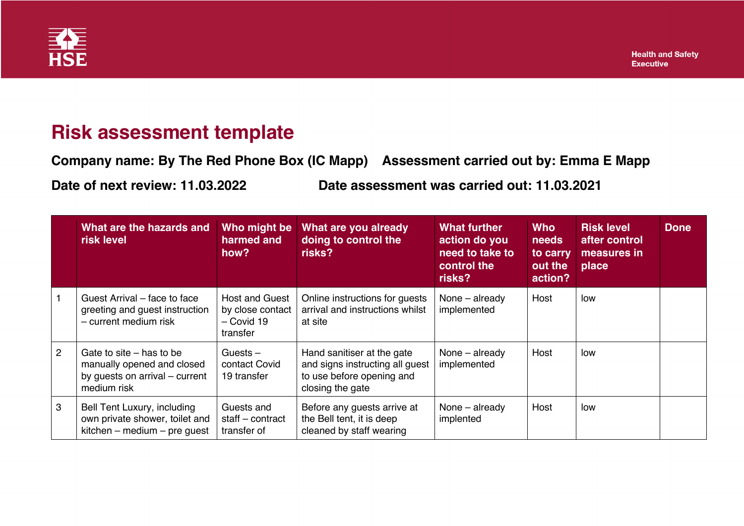

## **Risk assessment template**

**Company name: By The Red Phone Box (IC Mapp) Assessment carried out by: Emma E Mapp Date of next review: 11.03.2022 Date assessment was carried out: 11.03.2021**

|                | What are the hazards and<br>risk level                                                                    | Who might be<br>harmed and<br>how?                                    | What are you already<br>doing to control the<br>risks?                                                         | What further<br>action do you<br>need to take to<br>control the<br>risks? | <b>Who</b><br>needs<br>to carry<br>out the<br>action? | <b>Risk level</b><br>after control<br>measures in<br>place | <b>Done</b> |
|----------------|-----------------------------------------------------------------------------------------------------------|-----------------------------------------------------------------------|----------------------------------------------------------------------------------------------------------------|---------------------------------------------------------------------------|-------------------------------------------------------|------------------------------------------------------------|-------------|
|                | Guest Arrival – face to face<br>greeting and guest instruction<br>- current medium risk                   | <b>Host and Guest</b><br>by close contact<br>$-$ Covid 19<br>transfer | Online instructions for guests<br>arrival and instructions whilst<br>at site                                   | None - already<br>implemented                                             | Host                                                  | low                                                        |             |
| $\overline{2}$ | Gate to site $-$ has to be<br>manually opened and closed<br>by guests on arrival – current<br>medium risk | Guests $-$<br>contact Covid<br>19 transfer                            | Hand sanitiser at the gate<br>and signs instructing all guest<br>to use before opening and<br>closing the gate | None – already<br>implemented                                             | Host                                                  | low                                                        |             |
| 3              | Bell Tent Luxury, including<br>own private shower, toilet and<br>$kitchen - medium - pre guest$           | Guests and<br>staff – contract<br>transfer of                         | Before any guests arrive at<br>the Bell tent, it is deep<br>cleaned by staff wearing                           | None – already<br>implented                                               | Host                                                  | low                                                        |             |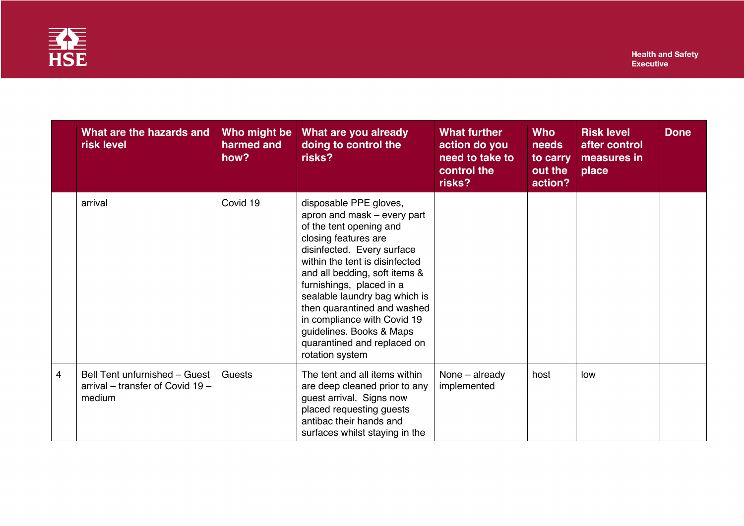

|   | What are the hazards and<br>risk level                                      | Who might be<br>harmed and<br>how? | What are you already<br>doing to control the<br>risks?                                                                                                                                                                                                                                                                                                                                                             | <b>What further</b><br>action do you<br>need to take to<br>control the<br>risks? | <b>Who</b><br>needs<br>to carry<br>out the<br>action? | <b>Risk level</b><br>after control<br>measures in<br>place | <b>Done</b> |
|---|-----------------------------------------------------------------------------|------------------------------------|--------------------------------------------------------------------------------------------------------------------------------------------------------------------------------------------------------------------------------------------------------------------------------------------------------------------------------------------------------------------------------------------------------------------|----------------------------------------------------------------------------------|-------------------------------------------------------|------------------------------------------------------------|-------------|
|   | arrival                                                                     | Covid 19                           | disposable PPE gloves,<br>apron and mask – every part<br>of the tent opening and<br>closing features are<br>disinfected. Every surface<br>within the tent is disinfected<br>and all bedding, soft items &<br>furnishings, placed in a<br>sealable laundry bag which is<br>then quarantined and washed<br>in compliance with Covid 19<br>guidelines. Books & Maps<br>quarantined and replaced on<br>rotation system |                                                                                  |                                                       |                                                            |             |
| 4 | Bell Tent unfurnished - Guest<br>arrival – transfer of Covid 19 –<br>medium | Guests                             | The tent and all items within<br>are deep cleaned prior to any<br>guest arrival. Signs now<br>placed requesting guests<br>antibac their hands and<br>surfaces whilst staying in the                                                                                                                                                                                                                                | None - already<br>implemented                                                    | host                                                  | low                                                        |             |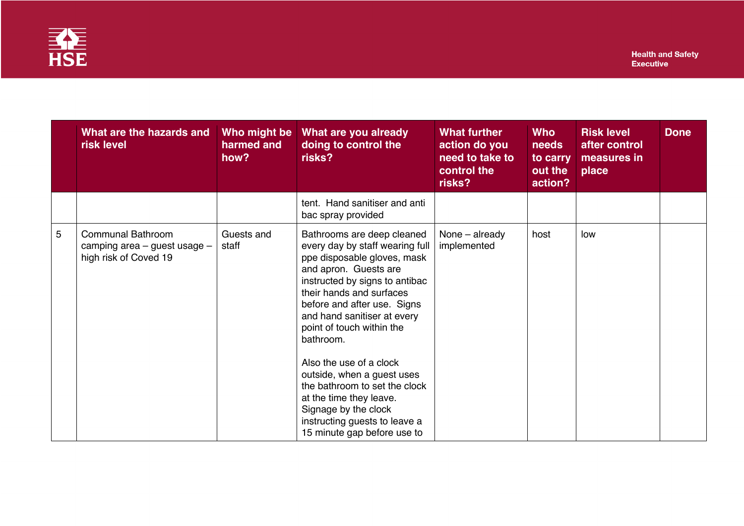

|   | What are the hazards and<br>risk level                                                | Who might be<br>harmed and<br>how? | What are you already<br>doing to control the<br>risks?                                                                                                                                                                                                                                                                                                                                                                                                                                                   | <b>What further</b><br>action do you<br>need to take to<br>control the<br>risks? | <b>Who</b><br>needs<br>to carry<br>out the<br>action? | <b>Risk level</b><br>after control<br>measures in<br>place | <b>Done</b> |
|---|---------------------------------------------------------------------------------------|------------------------------------|----------------------------------------------------------------------------------------------------------------------------------------------------------------------------------------------------------------------------------------------------------------------------------------------------------------------------------------------------------------------------------------------------------------------------------------------------------------------------------------------------------|----------------------------------------------------------------------------------|-------------------------------------------------------|------------------------------------------------------------|-------------|
|   |                                                                                       |                                    | tent. Hand sanitiser and anti<br>bac spray provided                                                                                                                                                                                                                                                                                                                                                                                                                                                      |                                                                                  |                                                       |                                                            |             |
| 5 | <b>Communal Bathroom</b><br>camping area $-$ guest usage $-$<br>high risk of Coved 19 | Guests and<br>staff                | Bathrooms are deep cleaned<br>every day by staff wearing full<br>ppe disposable gloves, mask<br>and apron. Guests are<br>instructed by signs to antibac<br>their hands and surfaces<br>before and after use. Signs<br>and hand sanitiser at every<br>point of touch within the<br>bathroom.<br>Also the use of a clock<br>outside, when a guest uses<br>the bathroom to set the clock<br>at the time they leave.<br>Signage by the clock<br>instructing guests to leave a<br>15 minute gap before use to | None - already<br>implemented                                                    | host                                                  | low                                                        |             |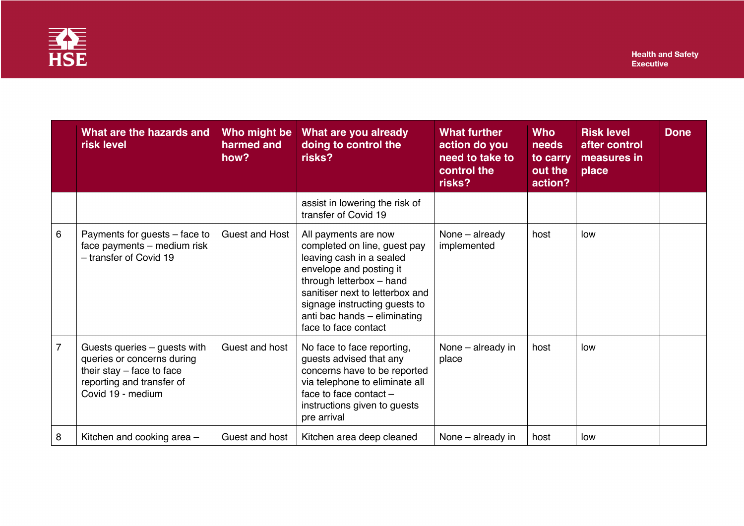

|                | What are the hazards and<br><b>risk level</b>                                                                                               | Who might be<br>harmed and<br>how? | What are you already<br>doing to control the<br>risks?                                                                                                                                                                                                              | <b>What further</b><br>action do you<br>need to take to<br>control the<br>risks? | <b>Who</b><br>needs<br>to carry<br>out the<br>action? | <b>Risk level</b><br>after control<br>measures in<br>place | <b>Done</b> |
|----------------|---------------------------------------------------------------------------------------------------------------------------------------------|------------------------------------|---------------------------------------------------------------------------------------------------------------------------------------------------------------------------------------------------------------------------------------------------------------------|----------------------------------------------------------------------------------|-------------------------------------------------------|------------------------------------------------------------|-------------|
|                |                                                                                                                                             |                                    | assist in lowering the risk of<br>transfer of Covid 19                                                                                                                                                                                                              |                                                                                  |                                                       |                                                            |             |
| 6              | Payments for guests - face to<br>face payments - medium risk<br>- transfer of Covid 19                                                      | <b>Guest and Host</b>              | All payments are now<br>completed on line, guest pay<br>leaving cash in a sealed<br>envelope and posting it<br>through letterbox - hand<br>sanitiser next to letterbox and<br>signage instructing guests to<br>anti bac hands - eliminating<br>face to face contact | None - already<br>implemented                                                    | host                                                  | low                                                        |             |
| $\overline{7}$ | Guests queries - guests with<br>queries or concerns during<br>their stay $-$ face to face<br>reporting and transfer of<br>Covid 19 - medium | Guest and host                     | No face to face reporting,<br>guests advised that any<br>concerns have to be reported<br>via telephone to eliminate all<br>face to face contact $-$<br>instructions given to guests<br>pre arrival                                                                  | None - already in<br>place                                                       | host                                                  | low                                                        |             |
| 8              | Kitchen and cooking area -                                                                                                                  | Guest and host                     | Kitchen area deep cleaned                                                                                                                                                                                                                                           | None - already in                                                                | host                                                  | low                                                        |             |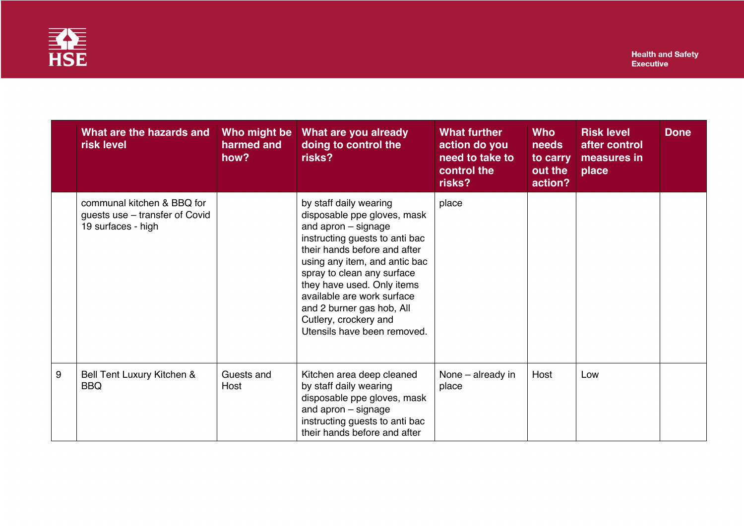

|   | What are the hazards and<br>risk level                                             | Who might be<br>harmed and<br>how? | What are you already<br>doing to control the<br>risks?                                                                                                                                                                                                                                                                                                         | What further<br>action do you<br>need to take to<br>control the<br>risks? | <b>Who</b><br>needs<br>to carry<br>out the<br>action? | <b>Risk level</b><br>after control<br>measures in<br>place | <b>Done</b> |
|---|------------------------------------------------------------------------------------|------------------------------------|----------------------------------------------------------------------------------------------------------------------------------------------------------------------------------------------------------------------------------------------------------------------------------------------------------------------------------------------------------------|---------------------------------------------------------------------------|-------------------------------------------------------|------------------------------------------------------------|-------------|
|   | communal kitchen & BBQ for<br>guests use - transfer of Covid<br>19 surfaces - high |                                    | by staff daily wearing<br>disposable ppe gloves, mask<br>and apron - signage<br>instructing guests to anti bac<br>their hands before and after<br>using any item, and antic bac<br>spray to clean any surface<br>they have used. Only items<br>available are work surface<br>and 2 burner gas hob, All<br>Cutlery, crockery and<br>Utensils have been removed. | place                                                                     |                                                       |                                                            |             |
| 9 | Bell Tent Luxury Kitchen &<br><b>BBQ</b>                                           | Guests and<br>Host                 | Kitchen area deep cleaned<br>by staff daily wearing<br>disposable ppe gloves, mask<br>and apron - signage<br>instructing guests to anti bac<br>their hands before and after                                                                                                                                                                                    | None – already in<br>place                                                | Host                                                  | Low                                                        |             |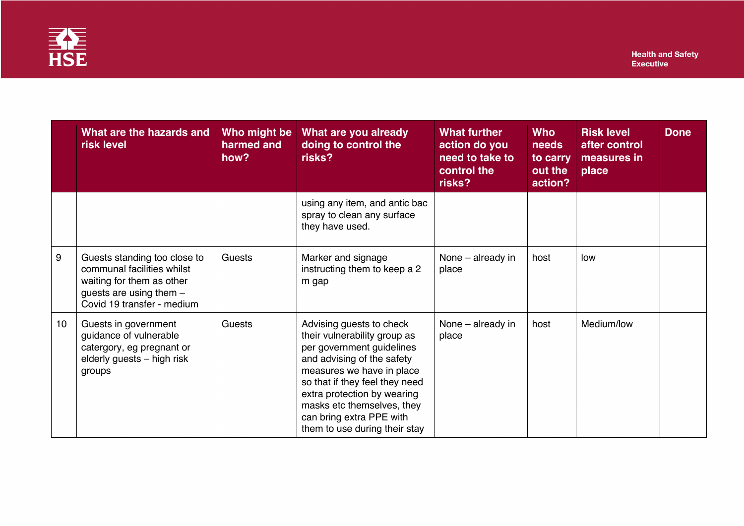

|    | What are the hazards and<br>risk level                                                                                                             | Who might be<br>harmed and<br>how? | What are you already<br>doing to control the<br>risks?                                                                                                                                                                                                                                                       | <b>What further</b><br>action do you<br>need to take to<br>control the<br>risks? | <b>Who</b><br>needs<br>to carry<br>out the<br>action? | <b>Risk level</b><br>after control<br>measures in<br>place | <b>Done</b> |
|----|----------------------------------------------------------------------------------------------------------------------------------------------------|------------------------------------|--------------------------------------------------------------------------------------------------------------------------------------------------------------------------------------------------------------------------------------------------------------------------------------------------------------|----------------------------------------------------------------------------------|-------------------------------------------------------|------------------------------------------------------------|-------------|
|    |                                                                                                                                                    |                                    | using any item, and antic bac<br>spray to clean any surface<br>they have used.                                                                                                                                                                                                                               |                                                                                  |                                                       |                                                            |             |
| 9  | Guests standing too close to<br>communal facilities whilst<br>waiting for them as other<br>guests are using them $-$<br>Covid 19 transfer - medium | Guests                             | Marker and signage<br>instructing them to keep a 2<br>m gap                                                                                                                                                                                                                                                  | None - already in<br>place                                                       | host                                                  | low                                                        |             |
| 10 | Guests in government<br>guidance of vulnerable<br>catergory, eg pregnant or<br>elderly guests - high risk<br>groups                                | Guests                             | Advising guests to check<br>their vulnerability group as<br>per government guidelines<br>and advising of the safety<br>measures we have in place<br>so that if they feel they need<br>extra protection by wearing<br>masks etc themselves, they<br>can bring extra PPE with<br>them to use during their stay | None – already in<br>place                                                       | host                                                  | Medium/low                                                 |             |